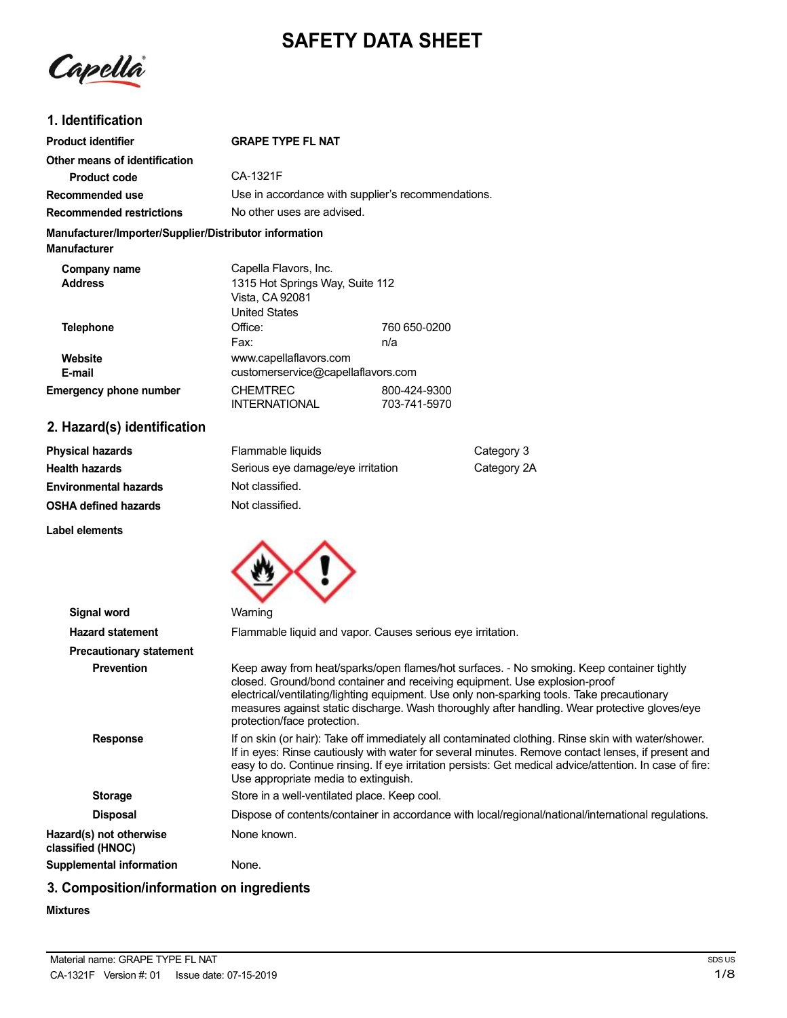# **SAFETY DATA SHEET**

Capella

## **1. Identification**

| <b>Product identifier</b>                                                     | <b>GRAPE TYPE FL NAT</b>                           |                              |
|-------------------------------------------------------------------------------|----------------------------------------------------|------------------------------|
| Other means of identification                                                 |                                                    |                              |
| Product code                                                                  | CA-1321F                                           |                              |
| Recommended use                                                               | Use in accordance with supplier's recommendations. |                              |
| <b>Recommended restrictions</b>                                               | No other uses are advised.                         |                              |
| Manufacturer/Importer/Supplier/Distributor information<br><b>Manufacturer</b> |                                                    |                              |
| Company name                                                                  | Capella Flavors, Inc.                              |                              |
| <b>Address</b>                                                                | 1315 Hot Springs Way, Suite 112                    |                              |
|                                                                               | Vista, CA 92081                                    |                              |
|                                                                               | <b>United States</b>                               |                              |
| <b>Telephone</b>                                                              | Office:                                            | 760 650-0200                 |
|                                                                               | Fax:                                               | n/a                          |
| Website                                                                       | www.capellaflavors.com                             |                              |
| E-mail                                                                        | customerservice@capellaflavors.com                 |                              |
| <b>Emergency phone number</b>                                                 | <b>CHEMTREC</b><br><b>INTERNATIONAL</b>            | 800-424-9300<br>703-741-5970 |

## **2. Hazard(s) identification**

| <b>Physical hazards</b>      | Flammable liquids                 | Category 3  |
|------------------------------|-----------------------------------|-------------|
| <b>Health hazards</b>        | Serious eye damage/eye irritation | Category 2A |
| <b>Environmental hazards</b> | Not classified.                   |             |
| <b>OSHA defined hazards</b>  | Not classified.                   |             |

**Label elements**



| Signal word                                  | Warning                                                                                                                                                                                                                                                                                                                                                                                               |
|----------------------------------------------|-------------------------------------------------------------------------------------------------------------------------------------------------------------------------------------------------------------------------------------------------------------------------------------------------------------------------------------------------------------------------------------------------------|
| <b>Hazard statement</b>                      | Flammable liquid and vapor. Causes serious eye irritation.                                                                                                                                                                                                                                                                                                                                            |
| <b>Precautionary statement</b>               |                                                                                                                                                                                                                                                                                                                                                                                                       |
| <b>Prevention</b>                            | Keep away from heat/sparks/open flames/hot surfaces. - No smoking. Keep container tightly<br>closed. Ground/bond container and receiving equipment. Use explosion-proof<br>electrical/ventilating/lighting equipment. Use only non-sparking tools. Take precautionary<br>measures against static discharge. Wash thoroughly after handling. Wear protective gloves/eye<br>protection/face protection. |
| <b>Response</b>                              | If on skin (or hair): Take off immediately all contaminated clothing. Rinse skin with water/shower.<br>If in eyes: Rinse cautiously with water for several minutes. Remove contact lenses, if present and<br>easy to do. Continue rinsing. If eye irritation persists: Get medical advice/attention. In case of fire:<br>Use appropriate media to extinguish.                                         |
| <b>Storage</b>                               | Store in a well-ventilated place. Keep cool.                                                                                                                                                                                                                                                                                                                                                          |
| <b>Disposal</b>                              | Dispose of contents/container in accordance with local/regional/national/international regulations.                                                                                                                                                                                                                                                                                                   |
| Hazard(s) not otherwise<br>classified (HNOC) | None known.                                                                                                                                                                                                                                                                                                                                                                                           |
| Supplemental information                     | None.                                                                                                                                                                                                                                                                                                                                                                                                 |

## **3. Composition/information on ingredients**

#### **Mixtures**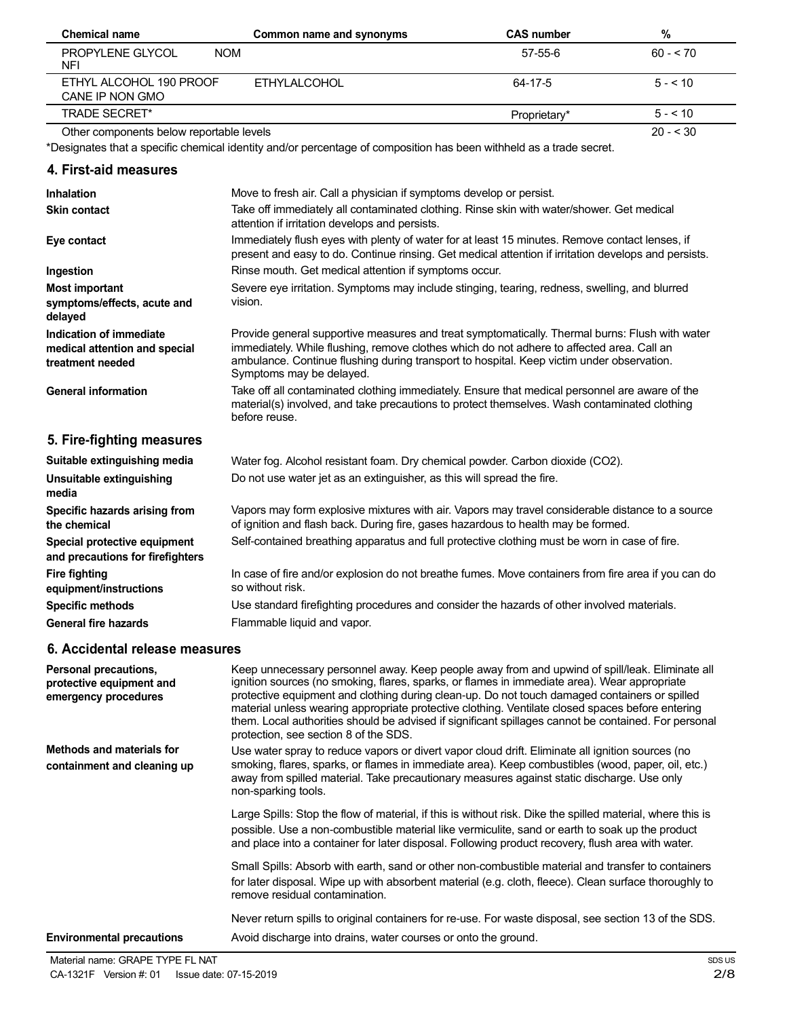| <b>Chemical name</b>                       | Common name and synonyms | <b>CAS number</b> | %         |
|--------------------------------------------|--------------------------|-------------------|-----------|
| PROPYLENE GLYCOL<br><b>NOM</b><br>NFI      |                          | 57-55-6           | $60 - 70$ |
| ETHYL ALCOHOL 190 PROOF<br>CANE IP NON GMO | FTHYLAI COHOL            | 64-17-5           | $5 - 10$  |
| <b>TRADE SECRET*</b>                       |                          | Proprietary*      | $5 - 10$  |
| Other components below reportable levels   |                          |                   | $20 - 30$ |

\*Designates that a specific chemical identity and/or percentage of composition has been withheld as a trade secret.

#### **4. First-aid measures**

| <b>Inhalation</b>                                                            | Move to fresh air. Call a physician if symptoms develop or persist.                                                                                                                                                                                                                                                  |
|------------------------------------------------------------------------------|----------------------------------------------------------------------------------------------------------------------------------------------------------------------------------------------------------------------------------------------------------------------------------------------------------------------|
| <b>Skin contact</b>                                                          | Take off immediately all contaminated clothing. Rinse skin with water/shower. Get medical<br>attention if irritation develops and persists.                                                                                                                                                                          |
| Eye contact                                                                  | Immediately flush eyes with plenty of water for at least 15 minutes. Remove contact lenses, if<br>present and easy to do. Continue rinsing. Get medical attention if irritation develops and persists.                                                                                                               |
| Ingestion                                                                    | Rinse mouth. Get medical attention if symptoms occur.                                                                                                                                                                                                                                                                |
| Most important<br>symptoms/effects, acute and<br>delayed                     | Severe eye irritation. Symptoms may include stinging, tearing, redness, swelling, and blurred<br>vision.                                                                                                                                                                                                             |
| Indication of immediate<br>medical attention and special<br>treatment needed | Provide general supportive measures and treat symptomatically. Thermal burns: Flush with water<br>immediately. While flushing, remove clothes which do not adhere to affected area. Call an<br>ambulance. Continue flushing during transport to hospital. Keep victim under observation.<br>Symptoms may be delayed. |
| <b>General information</b>                                                   | Take off all contaminated clothing immediately. Ensure that medical personnel are aware of the<br>material(s) involved, and take precautions to protect themselves. Wash contaminated clothing<br>before reuse.                                                                                                      |
| 5. Fire-fighting measures                                                    |                                                                                                                                                                                                                                                                                                                      |
| Suitable extinguishing media                                                 | Water fog. Alcohol resistant foam. Dry chemical powder. Carbon dioxide (CO2).                                                                                                                                                                                                                                        |
| Unsuitable extinguishing<br>media                                            | Do not use water jet as an extinguisher, as this will spread the fire.                                                                                                                                                                                                                                               |

Vapors may form explosive mixtures with air. Vapors may travel considerable distance to a source of ignition and flash back. During fire, gases hazardous to health may be formed. Self-contained breathing apparatus and full protective clothing must be worn in case of fire.

In case of fire and/or explosion do not breathe fumes. Move containers from fire area if you can do so without risk.

Use standard firefighting procedures and consider the hazards of other involved materials. Flammable liquid and vapor.

#### **6. Accidental release measures**

**Specific hazards arising from**

**Special protective equipment and precautions for firefighters**

**equipment/instructions Specific methods General fire hazards**

**the chemical**

**Fire fighting**

| Personal precautions,<br>protective equipment and<br>emergency procedures | Keep unnecessary personnel away. Keep people away from and upwind of spill/leak. Eliminate all<br>ignition sources (no smoking, flares, sparks, or flames in immediate area). Wear appropriate<br>protective equipment and clothing during clean-up. Do not touch damaged containers or spilled<br>material unless wearing appropriate protective clothing. Ventilate closed spaces before entering<br>them. Local authorities should be advised if significant spillages cannot be contained. For personal<br>protection, see section 8 of the SDS. |
|---------------------------------------------------------------------------|------------------------------------------------------------------------------------------------------------------------------------------------------------------------------------------------------------------------------------------------------------------------------------------------------------------------------------------------------------------------------------------------------------------------------------------------------------------------------------------------------------------------------------------------------|
| Methods and materials for<br>containment and cleaning up                  | Use water spray to reduce vapors or divert vapor cloud drift. Eliminate all ignition sources (no<br>smoking, flares, sparks, or flames in immediate area). Keep combustibles (wood, paper, oil, etc.)<br>away from spilled material. Take precautionary measures against static discharge. Use only<br>non-sparking tools.                                                                                                                                                                                                                           |
|                                                                           | Large Spills: Stop the flow of material, if this is without risk. Dike the spilled material, where this is<br>possible. Use a non-combustible material like vermiculite, sand or earth to soak up the product<br>and place into a container for later disposal. Following product recovery, flush area with water.                                                                                                                                                                                                                                   |
|                                                                           | Small Spills: Absorb with earth, sand or other non-combustible material and transfer to containers<br>for later disposal. Wipe up with absorbent material (e.g. cloth, fleece). Clean surface thoroughly to<br>remove residual contamination.                                                                                                                                                                                                                                                                                                        |
| <b>Environmental precautions</b>                                          | Never return spills to original containers for re-use. For waste disposal, see section 13 of the SDS.<br>Avoid discharge into drains, water courses or onto the ground.                                                                                                                                                                                                                                                                                                                                                                              |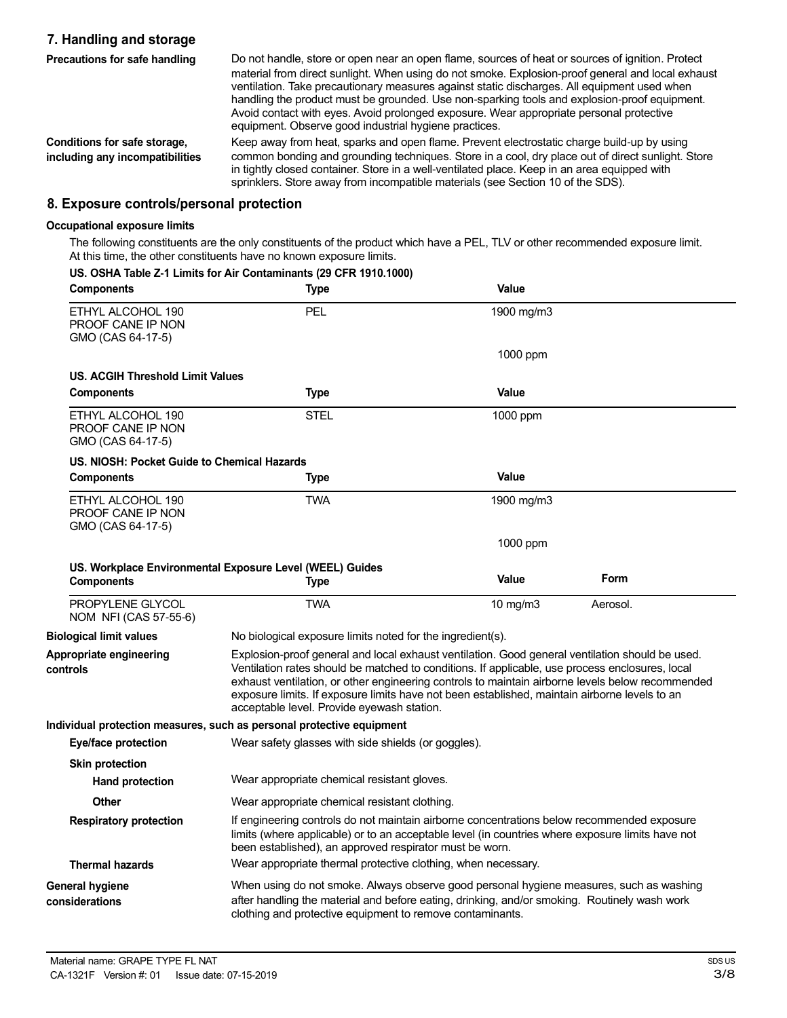## **7. Handling and storage**

| Precautions for safe handling                                   | Do not handle, store or open near an open flame, sources of heat or sources of ignition. Protect<br>material from direct sunlight. When using do not smoke. Explosion-proof general and local exhaust<br>ventilation. Take precautionary measures against static discharges. All equipment used when<br>handling the product must be grounded. Use non-sparking tools and explosion-proof equipment.<br>Avoid contact with eyes. Avoid prolonged exposure. Wear appropriate personal protective<br>equipment. Observe good industrial hygiene practices. |
|-----------------------------------------------------------------|----------------------------------------------------------------------------------------------------------------------------------------------------------------------------------------------------------------------------------------------------------------------------------------------------------------------------------------------------------------------------------------------------------------------------------------------------------------------------------------------------------------------------------------------------------|
| Conditions for safe storage,<br>including any incompatibilities | Keep away from heat, sparks and open flame. Prevent electrostatic charge build-up by using<br>common bonding and grounding techniques. Store in a cool, dry place out of direct sunlight. Store<br>in tightly closed container. Store in a well-ventilated place. Keep in an area equipped with<br>sprinklers. Store away from incompatible materials (see Section 10 of the SDS).                                                                                                                                                                       |

### **8. Exposure controls/personal protection**

#### **Occupational exposure limits**

The following constituents are the only constituents of the product which have a PEL, TLV or other recommended exposure limit. At this time, the other constituents have no known exposure limits.<br>LIS OSHA Table 7.4 Limits for Air Conteminants (20 CEB 4040 4000)

| <b>Components</b>                                           | US. OSHA Table Z-1 Limits for Air Contaminants (29 CFR 1910.1000)<br>Type                                                                                                                                                                                                                                                                                                                                                                             | Value                                                                                                                                                                                                                                                     |          |
|-------------------------------------------------------------|-------------------------------------------------------------------------------------------------------------------------------------------------------------------------------------------------------------------------------------------------------------------------------------------------------------------------------------------------------------------------------------------------------------------------------------------------------|-----------------------------------------------------------------------------------------------------------------------------------------------------------------------------------------------------------------------------------------------------------|----------|
| ETHYL ALCOHOL 190<br>PROOF CANE IP NON<br>GMO (CAS 64-17-5) | PEL                                                                                                                                                                                                                                                                                                                                                                                                                                                   | 1900 mg/m3                                                                                                                                                                                                                                                |          |
|                                                             |                                                                                                                                                                                                                                                                                                                                                                                                                                                       | 1000 ppm                                                                                                                                                                                                                                                  |          |
| <b>US. ACGIH Threshold Limit Values</b>                     |                                                                                                                                                                                                                                                                                                                                                                                                                                                       |                                                                                                                                                                                                                                                           |          |
| <b>Components</b>                                           | Type                                                                                                                                                                                                                                                                                                                                                                                                                                                  | Value                                                                                                                                                                                                                                                     |          |
| ETHYL ALCOHOL 190<br>PROOF CANE IP NON<br>GMO (CAS 64-17-5) | STEL                                                                                                                                                                                                                                                                                                                                                                                                                                                  | 1000 ppm                                                                                                                                                                                                                                                  |          |
| US. NIOSH: Pocket Guide to Chemical Hazards                 |                                                                                                                                                                                                                                                                                                                                                                                                                                                       |                                                                                                                                                                                                                                                           |          |
| <b>Components</b>                                           | Type                                                                                                                                                                                                                                                                                                                                                                                                                                                  | <b>Value</b>                                                                                                                                                                                                                                              |          |
| ETHYL ALCOHOL 190<br>PROOF CANE IP NON<br>GMO (CAS 64-17-5) | TWA                                                                                                                                                                                                                                                                                                                                                                                                                                                   | 1900 mg/m3                                                                                                                                                                                                                                                |          |
|                                                             |                                                                                                                                                                                                                                                                                                                                                                                                                                                       | 1000 ppm                                                                                                                                                                                                                                                  |          |
| <b>Components</b>                                           | US. Workplace Environmental Exposure Level (WEEL) Guides<br>Type                                                                                                                                                                                                                                                                                                                                                                                      | <b>Value</b>                                                                                                                                                                                                                                              | Form     |
| <b>PROPYLENE GLYCOL</b><br>NOM NFI (CAS 57-55-6)            | <b>TWA</b>                                                                                                                                                                                                                                                                                                                                                                                                                                            | 10 $mg/m3$                                                                                                                                                                                                                                                | Aerosol. |
| <b>Biological limit values</b>                              | No biological exposure limits noted for the ingredient(s).                                                                                                                                                                                                                                                                                                                                                                                            |                                                                                                                                                                                                                                                           |          |
| Appropriate engineering<br>controls                         | Explosion-proof general and local exhaust ventilation. Good general ventilation should be used.<br>Ventilation rates should be matched to conditions. If applicable, use process enclosures, local<br>exhaust ventilation, or other engineering controls to maintain airborne levels below recommended<br>exposure limits. If exposure limits have not been established, maintain airborne levels to an<br>acceptable level. Provide eyewash station. |                                                                                                                                                                                                                                                           |          |
|                                                             | Individual protection measures, such as personal protective equipment                                                                                                                                                                                                                                                                                                                                                                                 |                                                                                                                                                                                                                                                           |          |
| <b>Eye/face protection</b>                                  | Wear safety glasses with side shields (or goggles).                                                                                                                                                                                                                                                                                                                                                                                                   |                                                                                                                                                                                                                                                           |          |
| <b>Skin protection</b>                                      |                                                                                                                                                                                                                                                                                                                                                                                                                                                       |                                                                                                                                                                                                                                                           |          |
| <b>Hand protection</b>                                      | Wear appropriate chemical resistant gloves.                                                                                                                                                                                                                                                                                                                                                                                                           |                                                                                                                                                                                                                                                           |          |
| <b>Other</b>                                                | Wear appropriate chemical resistant clothing.                                                                                                                                                                                                                                                                                                                                                                                                         |                                                                                                                                                                                                                                                           |          |
| <b>Respiratory protection</b>                               |                                                                                                                                                                                                                                                                                                                                                                                                                                                       | If engineering controls do not maintain airborne concentrations below recommended exposure<br>limits (where applicable) or to an acceptable level (in countries where exposure limits have not<br>been established), an approved respirator must be worn. |          |
| <b>Thermal hazards</b>                                      | Wear appropriate thermal protective clothing, when necessary.                                                                                                                                                                                                                                                                                                                                                                                         |                                                                                                                                                                                                                                                           |          |
| General hygiene<br>considerations                           | When using do not smoke. Always observe good personal hygiene measures, such as washing<br>after handling the material and before eating, drinking, and/or smoking. Routinely wash work<br>clothing and protective equipment to remove contaminants.                                                                                                                                                                                                  |                                                                                                                                                                                                                                                           |          |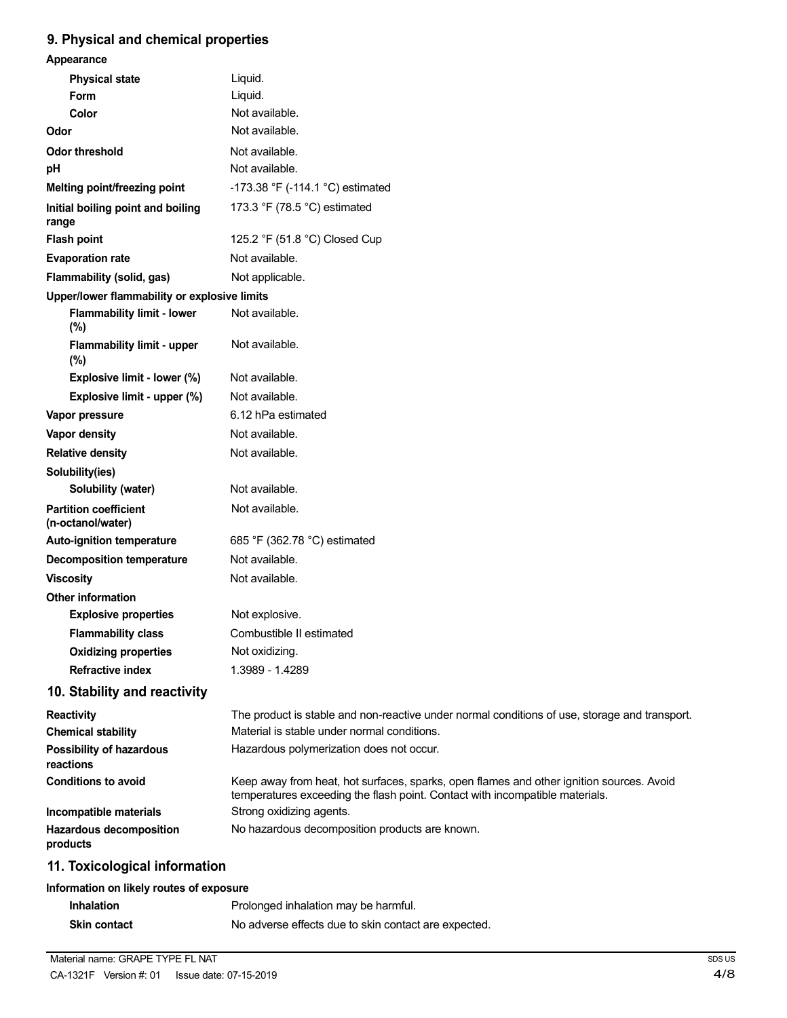## **9. Physical and chemical properties**

| Appearance                                        |                                                                                                                                                                          |
|---------------------------------------------------|--------------------------------------------------------------------------------------------------------------------------------------------------------------------------|
| <b>Physical state</b>                             | Liquid.                                                                                                                                                                  |
| <b>Form</b>                                       | Liquid.                                                                                                                                                                  |
| Color                                             | Not available.                                                                                                                                                           |
| Odor                                              | Not available.                                                                                                                                                           |
| <b>Odor threshold</b>                             | Not available.                                                                                                                                                           |
| pH                                                | Not available.                                                                                                                                                           |
| Melting point/freezing point                      | -173.38 °F (-114.1 °C) estimated                                                                                                                                         |
| Initial boiling point and boiling<br>range        | 173.3 °F (78.5 °C) estimated                                                                                                                                             |
| <b>Flash point</b>                                | 125.2 °F (51.8 °C) Closed Cup                                                                                                                                            |
| <b>Evaporation rate</b>                           | Not available.                                                                                                                                                           |
| Flammability (solid, gas)                         | Not applicable.                                                                                                                                                          |
| Upper/lower flammability or explosive limits      |                                                                                                                                                                          |
| <b>Flammability limit - lower</b><br>(%)          | Not available.                                                                                                                                                           |
| <b>Flammability limit - upper</b><br>(%)          | Not available.                                                                                                                                                           |
| Explosive limit - lower (%)                       | Not available.                                                                                                                                                           |
| Explosive limit - upper (%)                       | Not available.                                                                                                                                                           |
| Vapor pressure                                    | 6.12 hPa estimated                                                                                                                                                       |
| <b>Vapor density</b>                              | Not available.                                                                                                                                                           |
| <b>Relative density</b>                           | Not available.                                                                                                                                                           |
| Solubility(ies)                                   |                                                                                                                                                                          |
| Solubility (water)                                | Not available.                                                                                                                                                           |
| <b>Partition coefficient</b><br>(n-octanol/water) | Not available.                                                                                                                                                           |
| Auto-ignition temperature                         | 685 °F (362.78 °C) estimated                                                                                                                                             |
| <b>Decomposition temperature</b>                  | Not available.                                                                                                                                                           |
| <b>Viscosity</b>                                  | Not available.                                                                                                                                                           |
| <b>Other information</b>                          |                                                                                                                                                                          |
| <b>Explosive properties</b>                       | Not explosive.                                                                                                                                                           |
| <b>Flammability class</b>                         | Combustible II estimated                                                                                                                                                 |
| <b>Oxidizing properties</b>                       | Not oxidizing.                                                                                                                                                           |
| <b>Refractive index</b>                           | 1.3989 - 1.4289                                                                                                                                                          |
| 10. Stability and reactivity                      |                                                                                                                                                                          |
| <b>Reactivity</b>                                 | The product is stable and non-reactive under normal conditions of use, storage and transport.                                                                            |
| <b>Chemical stability</b>                         | Material is stable under normal conditions.                                                                                                                              |
| <b>Possibility of hazardous</b><br>reactions      | Hazardous polymerization does not occur.                                                                                                                                 |
| <b>Conditions to avoid</b>                        | Keep away from heat, hot surfaces, sparks, open flames and other ignition sources. Avoid<br>temperatures exceeding the flash point. Contact with incompatible materials. |
| Incompatible materials                            | Strong oxidizing agents.                                                                                                                                                 |
| Hazardous decomposition<br>products               | No hazardous decomposition products are known.                                                                                                                           |
| 11. Toxicological information                     |                                                                                                                                                                          |
| Information on likely routes of exposure          |                                                                                                                                                                          |
| <b>Inhalation</b>                                 | Prolonged inhalation may be harmful.                                                                                                                                     |
| Skin contact                                      | No adverse effects due to skin contact are expected.                                                                                                                     |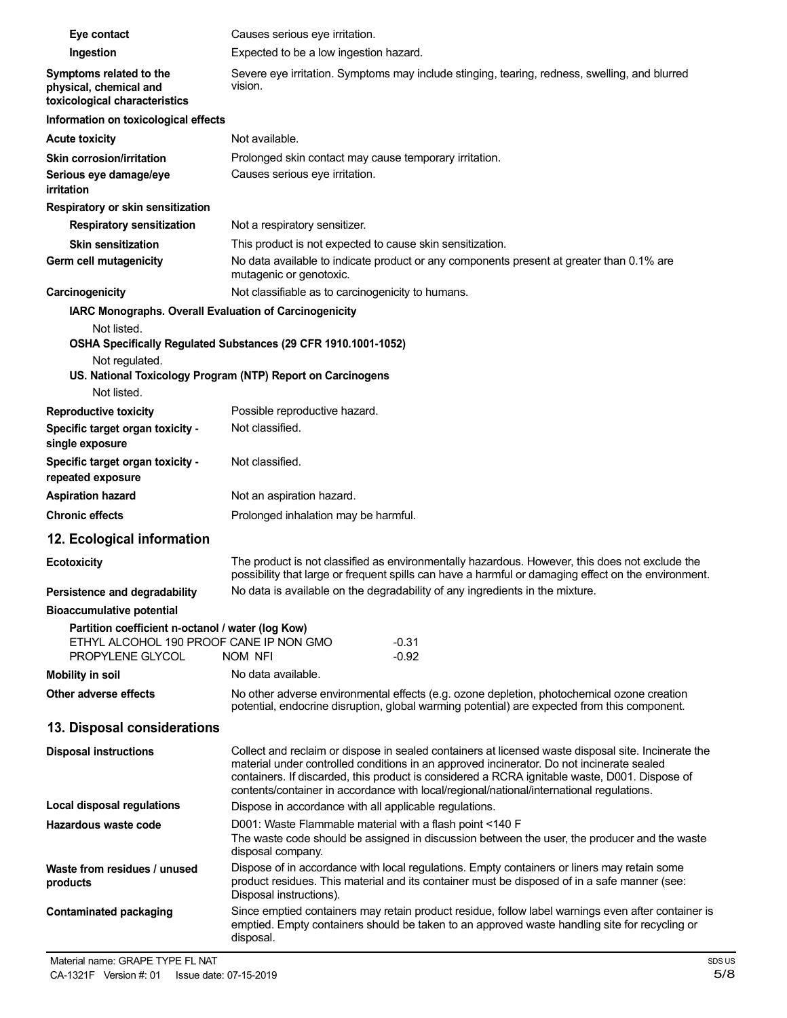| Eye contact                                                                                                      | Causes serious eye irritation.                                                                                                                                                                                                                                                                                                                                                                |  |  |
|------------------------------------------------------------------------------------------------------------------|-----------------------------------------------------------------------------------------------------------------------------------------------------------------------------------------------------------------------------------------------------------------------------------------------------------------------------------------------------------------------------------------------|--|--|
| Ingestion                                                                                                        | Expected to be a low ingestion hazard.                                                                                                                                                                                                                                                                                                                                                        |  |  |
| Symptoms related to the<br>physical, chemical and<br>toxicological characteristics                               | Severe eye irritation. Symptoms may include stinging, tearing, redness, swelling, and blurred<br>vision.                                                                                                                                                                                                                                                                                      |  |  |
| Information on toxicological effects                                                                             |                                                                                                                                                                                                                                                                                                                                                                                               |  |  |
| <b>Acute toxicity</b>                                                                                            | Not available.                                                                                                                                                                                                                                                                                                                                                                                |  |  |
| Skin corrosion/irritation                                                                                        | Prolonged skin contact may cause temporary irritation.                                                                                                                                                                                                                                                                                                                                        |  |  |
| Serious eye damage/eye<br>irritation                                                                             | Causes serious eye irritation.                                                                                                                                                                                                                                                                                                                                                                |  |  |
| Respiratory or skin sensitization                                                                                |                                                                                                                                                                                                                                                                                                                                                                                               |  |  |
| <b>Respiratory sensitization</b>                                                                                 | Not a respiratory sensitizer.                                                                                                                                                                                                                                                                                                                                                                 |  |  |
| <b>Skin sensitization</b>                                                                                        | This product is not expected to cause skin sensitization.                                                                                                                                                                                                                                                                                                                                     |  |  |
| Germ cell mutagenicity                                                                                           | No data available to indicate product or any components present at greater than 0.1% are<br>mutagenic or genotoxic.                                                                                                                                                                                                                                                                           |  |  |
| Carcinogenicity                                                                                                  | Not classifiable as to carcinogenicity to humans.                                                                                                                                                                                                                                                                                                                                             |  |  |
| IARC Monographs. Overall Evaluation of Carcinogenicity                                                           |                                                                                                                                                                                                                                                                                                                                                                                               |  |  |
| Not listed.<br>Not regulated.                                                                                    | OSHA Specifically Regulated Substances (29 CFR 1910.1001-1052)                                                                                                                                                                                                                                                                                                                                |  |  |
| Not listed.                                                                                                      | US. National Toxicology Program (NTP) Report on Carcinogens                                                                                                                                                                                                                                                                                                                                   |  |  |
| <b>Reproductive toxicity</b>                                                                                     | Possible reproductive hazard.                                                                                                                                                                                                                                                                                                                                                                 |  |  |
| Specific target organ toxicity -<br>single exposure                                                              | Not classified.                                                                                                                                                                                                                                                                                                                                                                               |  |  |
| Specific target organ toxicity -<br>repeated exposure                                                            | Not classified.                                                                                                                                                                                                                                                                                                                                                                               |  |  |
| <b>Aspiration hazard</b>                                                                                         | Not an aspiration hazard.                                                                                                                                                                                                                                                                                                                                                                     |  |  |
| <b>Chronic effects</b>                                                                                           | Prolonged inhalation may be harmful.                                                                                                                                                                                                                                                                                                                                                          |  |  |
| 12. Ecological information                                                                                       |                                                                                                                                                                                                                                                                                                                                                                                               |  |  |
| <b>Ecotoxicity</b>                                                                                               | The product is not classified as environmentally hazardous. However, this does not exclude the<br>possibility that large or frequent spills can have a harmful or damaging effect on the environment.                                                                                                                                                                                         |  |  |
| Persistence and degradability                                                                                    | No data is available on the degradability of any ingredients in the mixture.                                                                                                                                                                                                                                                                                                                  |  |  |
| <b>Bioaccumulative potential</b>                                                                                 |                                                                                                                                                                                                                                                                                                                                                                                               |  |  |
| Partition coefficient n-octanol / water (log Kow)<br>ETHYL ALCOHOL 190 PROOF CANE IP NON GMO<br>PROPYLENE GLYCOL | $-0.31$<br>$-0.92$<br>NOM NFI                                                                                                                                                                                                                                                                                                                                                                 |  |  |
| <b>Mobility in soil</b>                                                                                          | No data available.                                                                                                                                                                                                                                                                                                                                                                            |  |  |
| Other adverse effects                                                                                            | No other adverse environmental effects (e.g. ozone depletion, photochemical ozone creation<br>potential, endocrine disruption, global warming potential) are expected from this component.                                                                                                                                                                                                    |  |  |
| 13. Disposal considerations                                                                                      |                                                                                                                                                                                                                                                                                                                                                                                               |  |  |
| <b>Disposal instructions</b>                                                                                     | Collect and reclaim or dispose in sealed containers at licensed waste disposal site. Incinerate the<br>material under controlled conditions in an approved incinerator. Do not incinerate sealed<br>containers. If discarded, this product is considered a RCRA ignitable waste, D001. Dispose of<br>contents/container in accordance with local/regional/national/international regulations. |  |  |
| Local disposal regulations                                                                                       | Dispose in accordance with all applicable regulations.                                                                                                                                                                                                                                                                                                                                        |  |  |
| Hazardous waste code                                                                                             | D001: Waste Flammable material with a flash point <140 F<br>The waste code should be assigned in discussion between the user, the producer and the waste<br>disposal company.                                                                                                                                                                                                                 |  |  |
| Waste from residues / unused<br>products                                                                         | Dispose of in accordance with local regulations. Empty containers or liners may retain some<br>product residues. This material and its container must be disposed of in a safe manner (see:<br>Disposal instructions).                                                                                                                                                                        |  |  |
| <b>Contaminated packaging</b>                                                                                    | Since emptied containers may retain product residue, follow label warnings even after container is<br>emptied. Empty containers should be taken to an approved waste handling site for recycling or<br>disposal.                                                                                                                                                                              |  |  |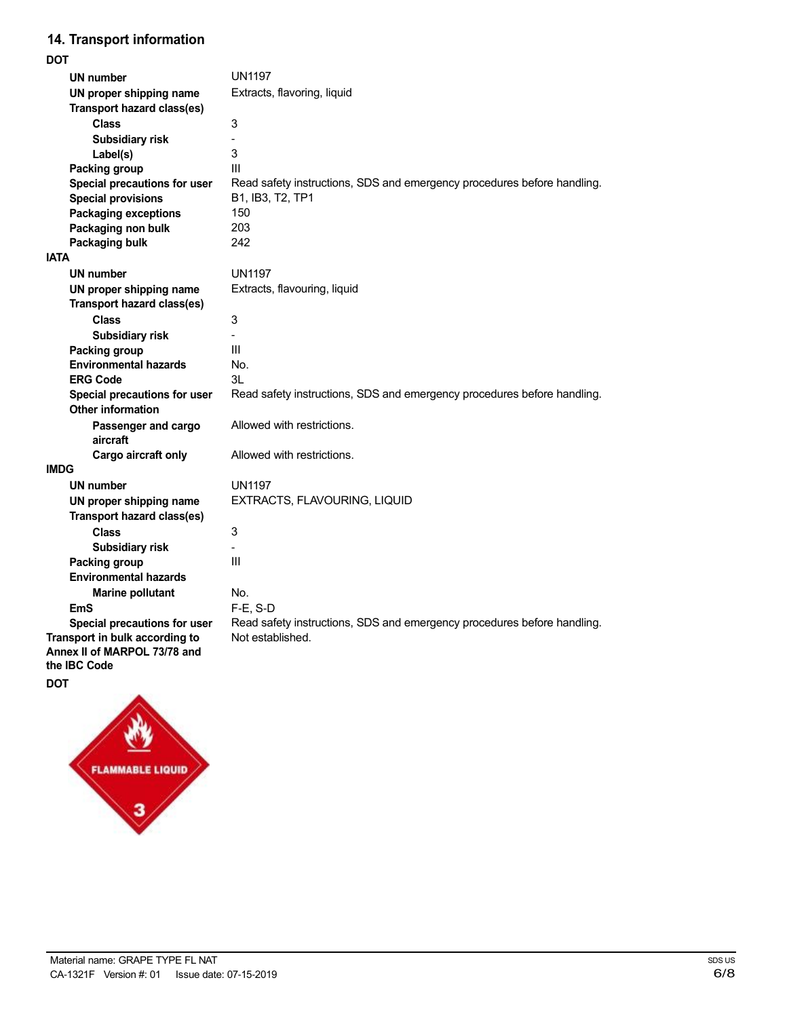## **14. Transport information**

| <b>DOT</b>                                                     |                                                                         |
|----------------------------------------------------------------|-------------------------------------------------------------------------|
| UN number                                                      | <b>UN1197</b>                                                           |
| UN proper shipping name                                        | Extracts, flavoring, liquid                                             |
| Transport hazard class(es)                                     |                                                                         |
| Class                                                          | 3                                                                       |
| <b>Subsidiary risk</b>                                         | ä,                                                                      |
| Label(s)                                                       | 3                                                                       |
| Packing group                                                  | III                                                                     |
| Special precautions for user                                   | Read safety instructions, SDS and emergency procedures before handling. |
| <b>Special provisions</b>                                      | B1, IB3, T2, TP1                                                        |
| <b>Packaging exceptions</b>                                    | 150                                                                     |
| Packaging non bulk                                             | 203                                                                     |
| Packaging bulk                                                 | 242                                                                     |
| <b>IATA</b>                                                    |                                                                         |
| <b>UN number</b>                                               | <b>UN1197</b>                                                           |
| UN proper shipping name                                        | Extracts, flavouring, liquid                                            |
| Transport hazard class(es)                                     |                                                                         |
| <b>Class</b>                                                   | 3                                                                       |
| Subsidiary risk                                                |                                                                         |
| Packing group                                                  | Ш                                                                       |
| <b>Environmental hazards</b>                                   | No.                                                                     |
| <b>ERG Code</b>                                                | 3L                                                                      |
| Special precautions for user                                   | Read safety instructions, SDS and emergency procedures before handling. |
| <b>Other information</b>                                       |                                                                         |
| Passenger and cargo                                            | Allowed with restrictions.                                              |
| aircraft                                                       |                                                                         |
| Cargo aircraft only                                            | Allowed with restrictions.                                              |
| <b>IMDG</b>                                                    |                                                                         |
| <b>UN number</b>                                               | <b>UN1197</b>                                                           |
| UN proper shipping name                                        | EXTRACTS, FLAVOURING, LIQUID                                            |
| Transport hazard class(es)                                     |                                                                         |
| <b>Class</b>                                                   | 3                                                                       |
| Subsidiary risk                                                |                                                                         |
| Packing group                                                  | III                                                                     |
| <b>Environmental hazards</b>                                   |                                                                         |
| <b>Marine pollutant</b>                                        | No.                                                                     |
| <b>EmS</b>                                                     | $F-E. S-D$                                                              |
| Special precautions for user                                   | Read safety instructions, SDS and emergency procedures before handling. |
| Transport in bulk according to<br>Annex II of MARPOL 73/78 and | Not established.                                                        |
| the <b>IBC</b> Code                                            |                                                                         |

**DOT**

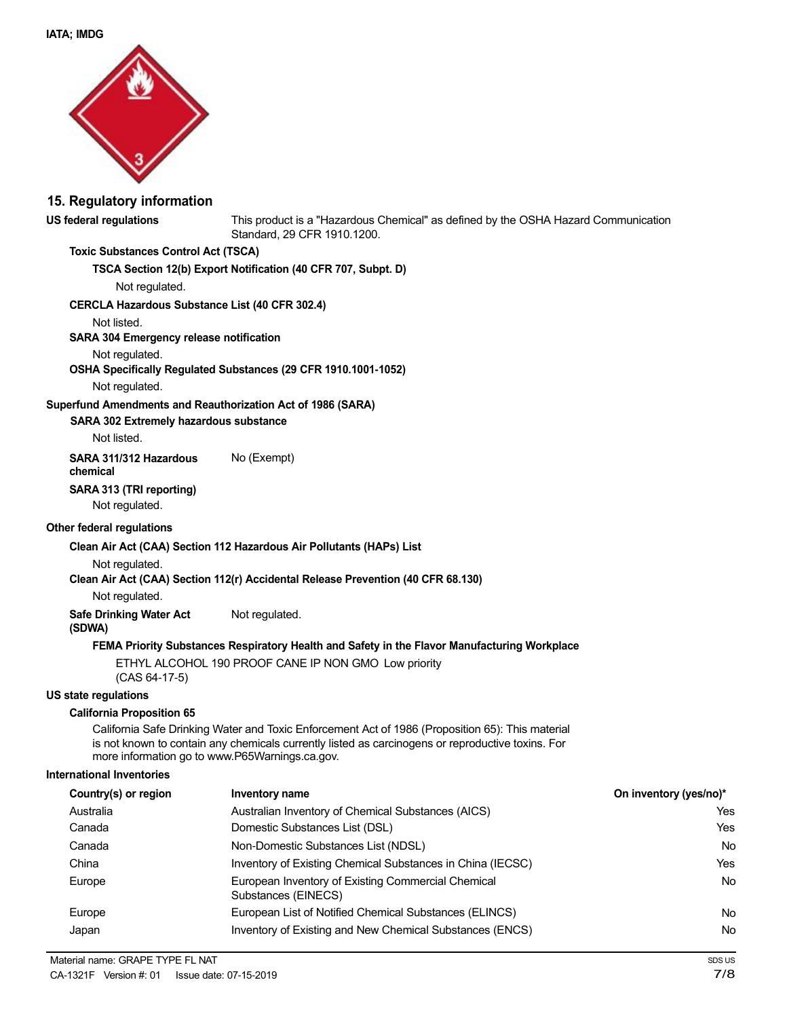

### **15. Regulatory information**

**US federal regulations** This product is a "Hazardous Chemical" as defined by the OSHA Hazard Communication Standard, 29 CFR 1910.1200.

#### **Toxic Substances Control Act (TSCA)**

**TSCA Section 12(b) Export Notification (40 CFR 707, Subpt. D)**

Not regulated.

#### **CERCLA Hazardous Substance List (40 CFR 302.4)**

Not listed.

**SARA 304 Emergency release notification**

#### Not regulated.

#### **OSHA Specifically Regulated Substances (29 CFR 1910.1001-1052)**

Not regulated.

#### **Superfund Amendments and Reauthorization Act of 1986 (SARA)**

**SARA 302 Extremely hazardous substance**

Not listed.

**SARA 311/312 Hazardous** No (Exempt)

## **chemical**

**SARA 313 (TRI reporting)**

Not regulated.

### **Other federal regulations**

**Clean Air Act (CAA) Section 112 Hazardous Air Pollutants (HAPs) List**

#### Not regulated.

#### **Clean Air Act (CAA) Section 112(r) Accidental Release Prevention (40 CFR 68.130)**

Not regulated.

**Safe Drinking Water Act** Not regulated.

#### **(SDWA)**

#### **FEMA Priority Substances Respiratory Health and Safety in the Flavor Manufacturing Workplace**

ETHYL ALCOHOL 190 PROOF CANE IP NON GMO Low priority (CAS 64-17-5)

#### **US state regulations**

#### **California Proposition 65**

California Safe Drinking Water and Toxic Enforcement Act of 1986 (Proposition 65): This material is not known to contain any chemicals currently listed as carcinogens or reproductive toxins. For more information go to www.P65Warnings.ca.gov.

#### **International Inventories**

| Country(s) or region | Inventory name                                                            | On inventory (yes/no)* |
|----------------------|---------------------------------------------------------------------------|------------------------|
| Australia            | Australian Inventory of Chemical Substances (AICS)                        | Yes                    |
| Canada               | Domestic Substances List (DSL)                                            | Yes                    |
| Canada               | Non-Domestic Substances List (NDSL)                                       | No                     |
| China                | Inventory of Existing Chemical Substances in China (IECSC)                | Yes                    |
| Europe               | European Inventory of Existing Commercial Chemical<br>Substances (EINECS) | No                     |
| Europe               | European List of Notified Chemical Substances (ELINCS)                    | No                     |
| Japan                | Inventory of Existing and New Chemical Substances (ENCS)                  | No                     |